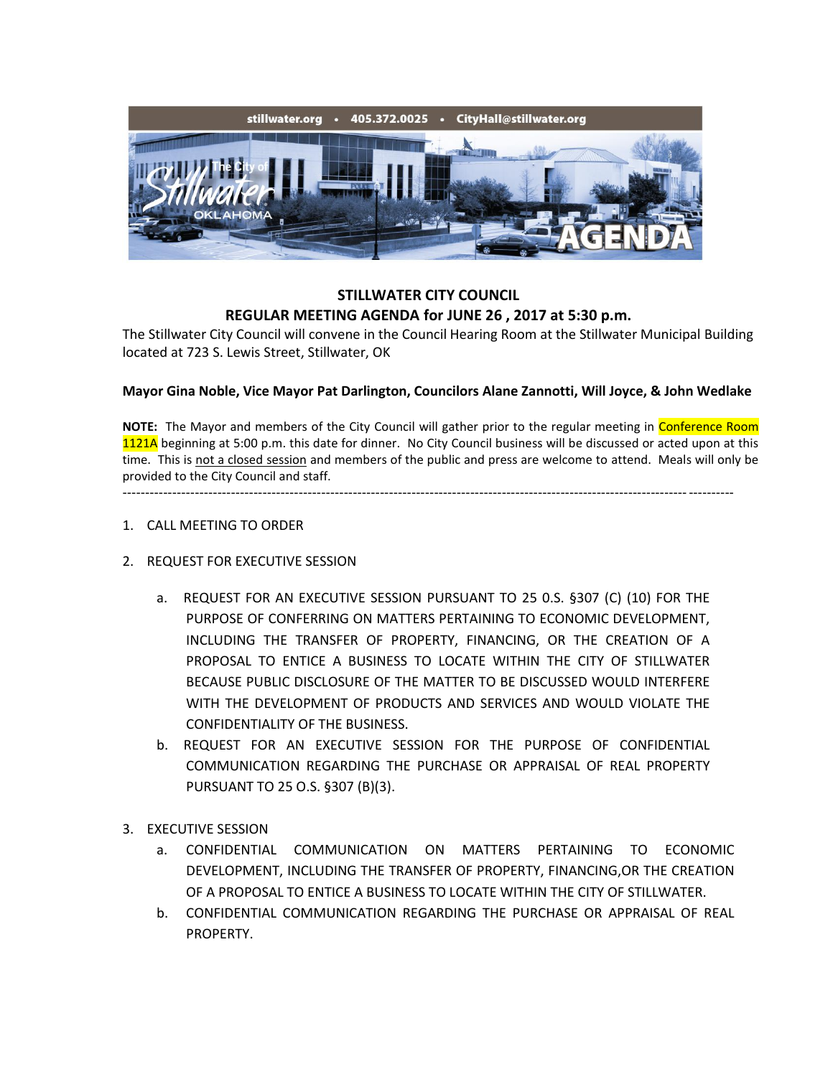

## **STILLWATER CITY COUNCIL REGULAR MEETING AGENDA for JUNE 26 , 2017 at 5:30 p.m.**

The Stillwater City Council will convene in the Council Hearing Room at the Stillwater Municipal Building located at 723 S. Lewis Street, Stillwater, OK

## **Mayor Gina Noble, Vice Mayor Pat Darlington, Councilors Alane Zannotti, Will Joyce, & John Wedlake**

**NOTE:** The Mayor and members of the City Council will gather prior to the regular meeting in Conference Room 1121A beginning at 5:00 p.m. this date for dinner. No City Council business will be discussed or acted upon at this time. This is not a closed session and members of the public and press are welcome to attend. Meals will only be provided to the City Council and staff.

---------------------------------------------------------------------------------------------------------------------------------------

- 1. CALL MEETING TO ORDER
- 2. REQUEST FOR EXECUTIVE SESSION
	- a. REQUEST FOR AN EXECUTIVE SESSION PURSUANT TO 25 0.S. §307 (C) (10) FOR THE PURPOSE OF CONFERRING ON MATTERS PERTAINING TO ECONOMIC DEVELOPMENT, INCLUDING THE TRANSFER OF PROPERTY, FINANCING, OR THE CREATION OF A PROPOSAL TO ENTICE A BUSINESS TO LOCATE WITHIN THE CITY OF STILLWATER BECAUSE PUBLIC DISCLOSURE OF THE MATTER TO BE DISCUSSED WOULD INTERFERE WITH THE DEVELOPMENT OF PRODUCTS AND SERVICES AND WOULD VIOLATE THE CONFIDENTIALITY OF THE BUSINESS.
	- b. REQUEST FOR AN EXECUTIVE SESSION FOR THE PURPOSE OF CONFIDENTIAL COMMUNICATION REGARDING THE PURCHASE OR APPRAISAL OF REAL PROPERTY PURSUANT TO 25 O.S. §307 (B)(3).
- 3. EXECUTIVE SESSION
	- a. CONFIDENTIAL COMMUNICATION ON MATTERS PERTAINING TO ECONOMIC DEVELOPMENT, INCLUDING THE TRANSFER OF PROPERTY, FINANCING,OR THE CREATION OF A PROPOSAL TO ENTICE A BUSINESS TO LOCATE WITHIN THE CITY OF STILLWATER.
	- b. CONFIDENTIAL COMMUNICATION REGARDING THE PURCHASE OR APPRAISAL OF REAL PROPERTY.